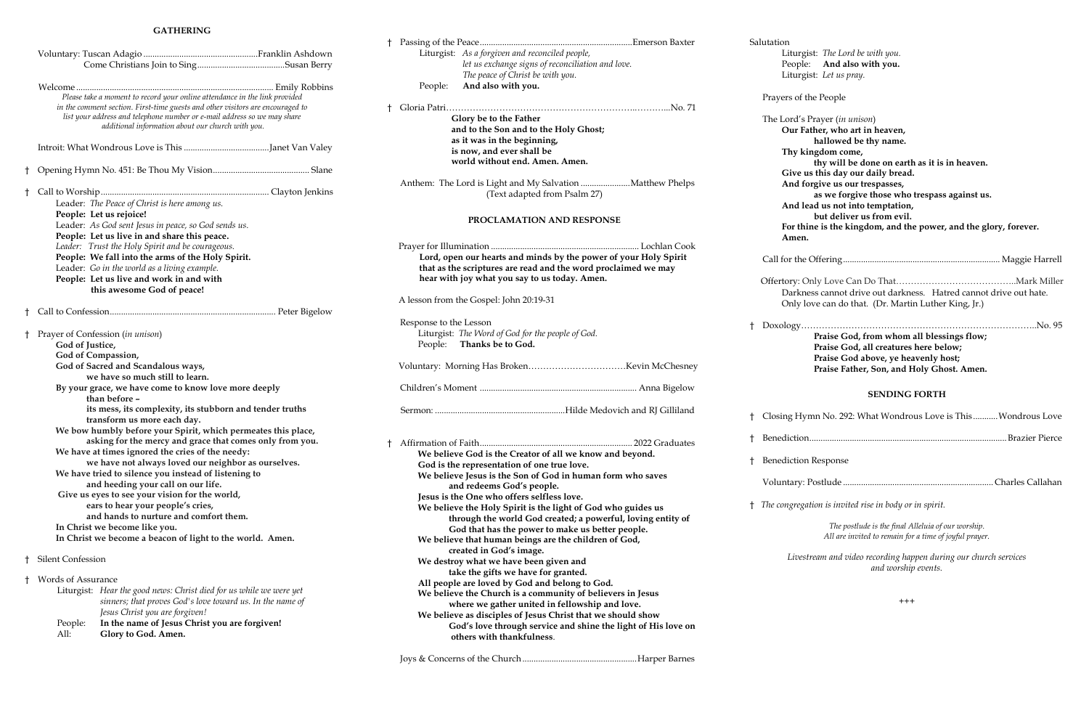#### **GATHERING**

|   |                                       | Please take a moment to record your online attendance in the link provided<br>in the comment section. First-time guests and other visitors are encouraged to<br>list your address and telephone number or e-mail address so we may share<br>additional information about our church with you.                                                                                                                                                                                                                                                                                                                                                                                                                                                                                                                                                      |  |
|---|---------------------------------------|----------------------------------------------------------------------------------------------------------------------------------------------------------------------------------------------------------------------------------------------------------------------------------------------------------------------------------------------------------------------------------------------------------------------------------------------------------------------------------------------------------------------------------------------------------------------------------------------------------------------------------------------------------------------------------------------------------------------------------------------------------------------------------------------------------------------------------------------------|--|
|   |                                       |                                                                                                                                                                                                                                                                                                                                                                                                                                                                                                                                                                                                                                                                                                                                                                                                                                                    |  |
| t |                                       |                                                                                                                                                                                                                                                                                                                                                                                                                                                                                                                                                                                                                                                                                                                                                                                                                                                    |  |
| Ť |                                       | Leader: The Peace of Christ is here among us.<br>People: Let us rejoice!<br>Leader: As God sent Jesus in peace, so God sends us.<br>People: Let us live in and share this peace.<br>Leader: Trust the Holy Spirit and be courageous.<br>People: We fall into the arms of the Holy Spirit.<br>Leader: Go in the world as a living example.<br>People: Let us live and work in and with<br>this awesome God of peace!                                                                                                                                                                                                                                                                                                                                                                                                                                |  |
| Ť |                                       |                                                                                                                                                                                                                                                                                                                                                                                                                                                                                                                                                                                                                                                                                                                                                                                                                                                    |  |
| t | God of Justice,<br>God of Compassion, | Prayer of Confession (in unison)<br>God of Sacred and Scandalous ways,<br>we have so much still to learn.<br>By your grace, we have come to know love more deeply<br>than before -<br>its mess, its complexity, its stubborn and tender truths<br>transform us more each day.<br>We bow humbly before your Spirit, which permeates this place,<br>asking for the mercy and grace that comes only from you.<br>We have at times ignored the cries of the needy:<br>we have not always loved our neighbor as ourselves.<br>We have tried to silence you instead of listening to<br>and heeding your call on our life.<br>Give us eyes to see your vision for the world,<br>ears to hear your people's cries,<br>and hands to nurture and comfort them.<br>In Christ we become like you.<br>In Christ we become a beacon of light to the world. Amen. |  |
| t | Silent Confession                     |                                                                                                                                                                                                                                                                                                                                                                                                                                                                                                                                                                                                                                                                                                                                                                                                                                                    |  |
| t | Words of Assurance<br>People:<br>All: | Liturgist: Hear the good news: Christ died for us while we were yet<br>sinners; that proves God's love toward us. In the name of<br>Jesus Christ you are forgiven!<br>In the name of Jesus Christ you are forgiven!<br>Glory to God. Amen.                                                                                                                                                                                                                                                                                                                                                                                                                                                                                                                                                                                                         |  |

rgist: *The Lord be with you.* ple: **And also with you.** Liturgist: *Let us pray.*

of the People

l's Prayer (*in unison*) **Father, who art in heaven, hallowed be thy name. Thy kingdom come, thy will be done on earth as it is in heaven. Give us this day our daily bread. And forgive us our trespasses, as we forgive those who trespass against us. Allead us not into temptation, but deliver us from evil. For thine is the kingdom, and the power, and the glory, forever. Amen.**

Call for the Offering...................................................................... Maggie Harrell Only Love Can Do That…………………………………………… Mark Miller kness cannot drive out darkness. Hatred cannot drive out hate.

y love can do that. (Dr. Martin Luther King, Jr.)

|            |                                                                  |                                                               |             | Salutation   |  |
|------------|------------------------------------------------------------------|---------------------------------------------------------------|-------------|--------------|--|
|            |                                                                  | Liturgist: As a forgiven and reconciled people,               |             | Litu         |  |
|            |                                                                  | let us exchange signs of reconciliation and love.             |             | Peop         |  |
|            |                                                                  | The peace of Christ be with you.                              |             | Litu         |  |
|            | People:                                                          | And also with you.                                            |             |              |  |
|            |                                                                  |                                                               |             | Prayers o    |  |
| Ť          |                                                                  |                                                               |             |              |  |
|            | Glory be to the Father                                           |                                                               |             | The Lord     |  |
|            |                                                                  | and to the Son and to the Holy Ghost;                         |             | Our          |  |
|            |                                                                  | as it was in the beginning,                                   |             |              |  |
|            | is now, and ever shall be                                        |                                                               | Thy         |              |  |
|            |                                                                  | world without end. Amen. Amen.                                |             |              |  |
|            |                                                                  |                                                               |             | Give         |  |
|            | Anthem: The Lord is Light and My Salvation Matthew Phelps        |                                                               |             | And          |  |
|            |                                                                  | (Text adapted from Psalm 27)                                  |             |              |  |
|            |                                                                  |                                                               |             | And          |  |
|            |                                                                  |                                                               |             |              |  |
|            | PROCLAMATION AND RESPONSE                                        |                                                               |             | For t        |  |
|            |                                                                  |                                                               |             | Am           |  |
|            |                                                                  |                                                               |             |              |  |
|            | Lord, open our hearts and minds by the power of your Holy Spirit |                                                               | Call for tl |              |  |
|            | that as the scriptures are read and the word proclaimed we may   |                                                               |             |              |  |
|            |                                                                  | hear with joy what you say to us today. Amen.                 |             | Offertory    |  |
|            |                                                                  |                                                               |             | Darl         |  |
|            |                                                                  | A lesson from the Gospel: John 20:19-31                       |             | Only         |  |
|            |                                                                  |                                                               |             |              |  |
|            | Response to the Lesson                                           |                                                               | Ť           | Doxology     |  |
|            |                                                                  | Liturgist: The Word of God for the people of God.             |             |              |  |
|            |                                                                  | People: Thanks be to God.                                     |             |              |  |
|            |                                                                  |                                                               |             |              |  |
|            |                                                                  |                                                               |             |              |  |
|            |                                                                  |                                                               |             |              |  |
|            |                                                                  |                                                               |             |              |  |
|            |                                                                  |                                                               |             |              |  |
|            |                                                                  |                                                               | ŧ           | Closing F    |  |
|            |                                                                  |                                                               |             |              |  |
|            |                                                                  |                                                               |             | † Benedicti  |  |
| $\ddagger$ |                                                                  |                                                               |             |              |  |
|            |                                                                  | We believe God is the Creator of all we know and beyond.      | t           | Benedicti    |  |
|            |                                                                  | God is the representation of one true love.                   |             |              |  |
|            |                                                                  | We believe Jesus is the Son of God in human form who saves    |             | Voluntar     |  |
|            |                                                                  | and redeems God's people.                                     |             |              |  |
|            |                                                                  | Jesus is the One who offers selfless love.                    |             |              |  |
|            |                                                                  | We believe the Holy Spirit is the light of God who guides us  |             | † The congre |  |
|            |                                                                  | through the world God created; a powerful, loving entity of   |             |              |  |
|            |                                                                  | God that has the power to make us better people.              |             |              |  |
|            |                                                                  | We believe that human beings are the children of God,         |             |              |  |
|            |                                                                  | created in God's image.                                       |             | Liv          |  |
|            |                                                                  | We destroy what we have been given and                        |             |              |  |
|            |                                                                  | take the gifts we have for granted.                           |             |              |  |
|            |                                                                  | All people are loved by God and belong to God.                |             |              |  |
|            |                                                                  | We believe the Church is a community of believers in Jesus    |             |              |  |
|            |                                                                  | where we gather united in fellowship and love.                |             |              |  |
|            |                                                                  | We believe as disciples of Jesus Christ that we should show   |             |              |  |
|            |                                                                  | God's love through service and shine the light of His love on |             |              |  |
|            |                                                                  | others with thankfulness.                                     |             |              |  |

Joys & Concerns of the Church...................................................Harper Barnes

† Doxology……………………………………………………………………..No. 95 **Praise God, from whom all blessings flow; Praise God, all creatures here below; Praise God above, ye heavenly host; Praise Father, Son, and Holy Ghost. Amen.**

## **SENDING FORTH**

† Closing Hymn No. 292: What Wondrous Love is This ...........Wondrous Love

† Benediction........................................................................................Brazier Pierce

ion Response

Voluntary: Postlude ................................................................... Charles Callahan

† *The congregation is invited rise in body or in spirit.*

*The postlude is the final Alleluia of our worship. All are invited to remain for a time of joyful prayer.* 

*Livestream and video recording happen during our church services and worship events.*

+++